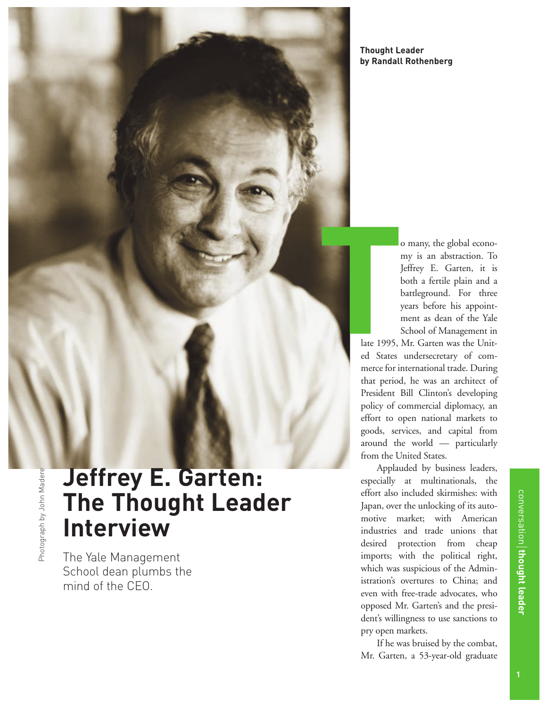**Thought Leader by Randall Rothenberg**

o many, the global economy is an abstraction. To Jeffrey E. Garten, it is both a fertile plain and a battleground. For three years before his appointment as dean of the Yale School of Management in

late 1995, Mr. Garten was the United States undersecretary of commerce for international trade. During that period, he was an architect of President Bill Clinton's developing policy of commercial diplomacy, an effort to open national markets to goods, services, and capital from around the world — particularly from the United States. **T**

> Applauded by business leaders, especially at multinationals, the effort also included skirmishes: with Japan, over the unlocking of its automotive market; with American industries and trade unions that desired protection from cheap imports; with the political right, which was suspicious of the Administration's overtures to China; and even with free-trade advocates, who opposed Mr. Garten's and the president's willingness to use sanctions to pry open markets.

> If he was bruised by the combat, Mr. Garten, a 53-year-old graduate

# **Jeffrey E. Garten: The Thought Leader Interview**

The Yale Management School dean plumbs the mind of the CEO.

conversation

**thought leader**

conversation **| thought leader**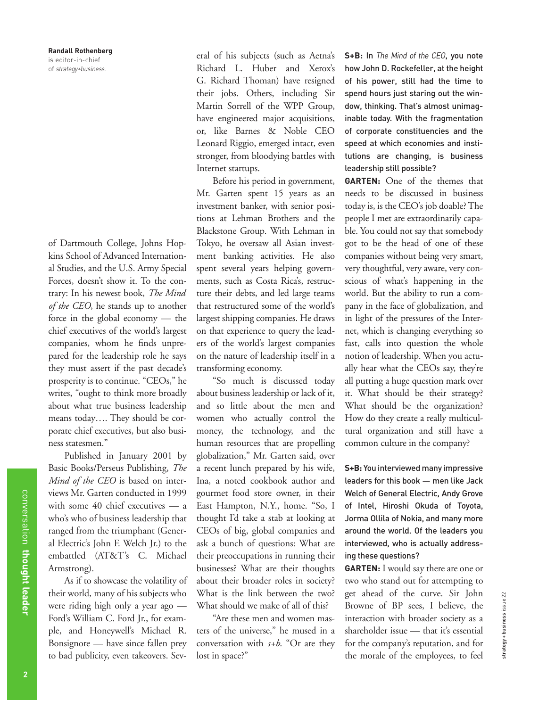of Dartmouth College, Johns Hopkins School of Advanced International Studies, and the U.S. Army Special Forces, doesn't show it. To the contrary: In his newest book, *The Mind of the CEO*, he stands up to another force in the global economy — the chief executives of the world's largest companies, whom he finds unprepared for the leadership role he says they must assert if the past decade's prosperity is to continue. "CEOs," he writes, "ought to think more broadly about what true business leadership means today…. They should be corporate chief executives, but also business statesmen."

Published in January 2001 by Basic Books/Perseus Publishing, *The Mind of the CEO* is based on interviews Mr. Garten conducted in 1999 with some 40 chief executives — a who's who of business leadership that ranged from the triumphant (General Electric's John F. Welch Jr.) to the embattled (AT&T's C. Michael Armstrong).

As if to showcase the volatility of their world, many of his subjects who were riding high only a year ago — Ford's William C. Ford Jr., for example, and Honeywell's Michael R. Bonsignore — have since fallen prey to bad publicity, even takeovers. Several of his subjects (such as Aetna's Richard L. Huber and Xerox's G. Richard Thoman) have resigned their jobs. Others, including Sir Martin Sorrell of the WPP Group, have engineered major acquisitions, or, like Barnes & Noble CEO Leonard Riggio, emerged intact, even stronger, from bloodying battles with Internet startups.

Before his period in government, Mr. Garten spent 15 years as an investment banker, with senior positions at Lehman Brothers and the Blackstone Group. With Lehman in Tokyo, he oversaw all Asian investment banking activities. He also spent several years helping governments, such as Costa Rica's, restructure their debts, and led large teams that restructured some of the world's largest shipping companies. He draws on that experience to query the leaders of the world's largest companies on the nature of leadership itself in a transforming economy.

"So much is discussed today about business leadership or lack of it, and so little about the men and women who actually control the money, the technology, and the human resources that are propelling globalization," Mr. Garten said, over a recent lunch prepared by his wife, Ina, a noted cookbook author and gourmet food store owner, in their East Hampton, N.Y., home. "So, I thought I'd take a stab at looking at CEOs of big, global companies and ask a bunch of questions: What are their preoccupations in running their businesses? What are their thoughts about their broader roles in society? What is the link between the two? What should we make of all of this?

"Are these men and women masters of the universe," he mused in a conversation with *s+b*. "Or are they lost in space?"

**S+B:** In *The Mind of the CEO*, you note how John D. Rockefeller, at the height of his power, still had the time to spend hours just staring out the window, thinking. That's almost unimaginable today. With the fragmentation of corporate constituencies and the speed at which economies and institutions are changing, is business leadership still possible?

**GARTEN:** One of the themes that needs to be discussed in business today is, is the CEO's job doable? The people I met are extraordinarily capable. You could not say that somebody got to be the head of one of these companies without being very smart, very thoughtful, very aware, very conscious of what's happening in the world. But the ability to run a company in the face of globalization, and in light of the pressures of the Internet, which is changing everything so fast, calls into question the whole notion of leadership. When you actually hear what the CEOs say, they're all putting a huge question mark over it. What should be their strategy? What should be the organization? How do they create a really multicultural organization and still have a common culture in the company?

**S+B:** You interviewed many impressive leaders for this book — men like Jack Welch of General Electric, Andy Grove of Intel, Hiroshi Okuda of Toyota, Jorma Ollila of Nokia, and many more around the world. Of the leaders you interviewed, who is actually addressing these questions?

**GARTEN:** I would say there are one or two who stand out for attempting to get ahead of the curve. Sir John Browne of BP sees, I believe, the interaction with broader society as a shareholder issue — that it's essential for the company's reputation, and for the morale of the employees, to feel

strategy + business issue 22

strategy+business issue 22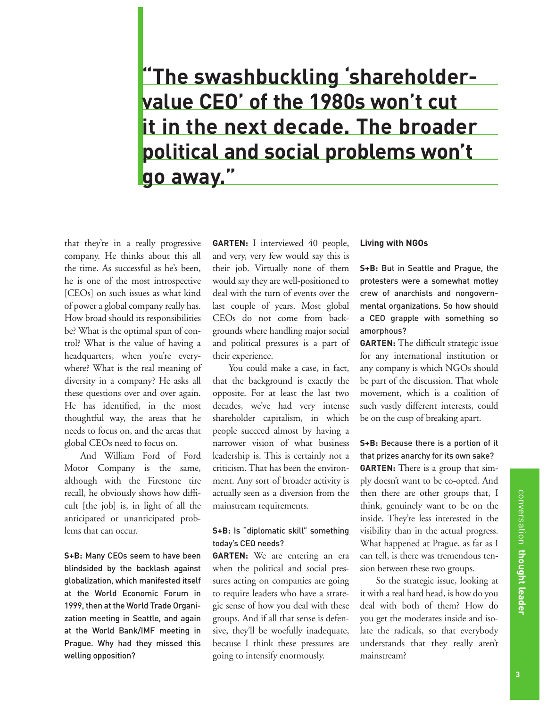**"The swashbuckling 'shareholdervalue CEO' of the 1980s won't cut it in the next decade. The broader political and social problems won't go away."**

that they're in a really progressive company. He thinks about this all the time. As successful as he's been, he is one of the most introspective [CEOs] on such issues as what kind of power a global company really has. How broad should its responsibilities be? What is the optimal span of control? What is the value of having a headquarters, when you're everywhere? What is the real meaning of diversity in a company? He asks all these questions over and over again. He has identified, in the most thoughtful way, the areas that he needs to focus on, and the areas that global CEOs need to focus on.

And William Ford of Ford Motor Company is the same, although with the Firestone tire recall, he obviously shows how difficult [the job] is, in light of all the anticipated or unanticipated problems that can occur.

**S+B:** Many CEOs seem to have been blindsided by the backlash against globalization, which manifested itself at the World Economic Forum in 1999, then at the World Trade Organization meeting in Seattle, and again at the World Bank/IMF meeting in Prague. Why had they missed this welling opposition?

**GARTEN:** I interviewed 40 people, and very, very few would say this is their job. Virtually none of them would say they are well-positioned to deal with the turn of events over the last couple of years. Most global CEOs do not come from backgrounds where handling major social and political pressures is a part of their experience.

You could make a case, in fact, that the background is exactly the opposite. For at least the last two decades, we've had very intense shareholder capitalism, in which people succeed almost by having a narrower vision of what business leadership is. This is certainly not a criticism. That has been the environment. Any sort of broader activity is actually seen as a diversion from the mainstream requirements.

## **S+B:** Is "diplomatic skill" something today's CEO needs?

**GARTEN:** We are entering an era when the political and social pressures acting on companies are going to require leaders who have a strategic sense of how you deal with these groups. And if all that sense is defensive, they'll be woefully inadequate, because I think these pressures are going to intensify enormously.

#### **Living with NGOs**

**S+B:** But in Seattle and Prague, the protesters were a somewhat motley crew of anarchists and nongovernmental organizations. So how should a CEO grapple with something so amorphous?

**GARTEN:** The difficult strategic issue for any international institution or any company is which NGOs should be part of the discussion. That whole movement, which is a coalition of such vastly different interests, could be on the cusp of breaking apart.

**S+B:** Because there is a portion of it that prizes anarchy for its own sake? **GARTEN:** There is a group that simply doesn't want to be co-opted. And then there are other groups that, I think, genuinely want to be on the inside. They're less interested in the visibility than in the actual progress. What happened at Prague, as far as I can tell, is there was tremendous tension between these two groups.

So the strategic issue, looking at it with a real hard head, is how do you deal with both of them? How do you get the moderates inside and isolate the radicals, so that everybody understands that they really aren't mainstream?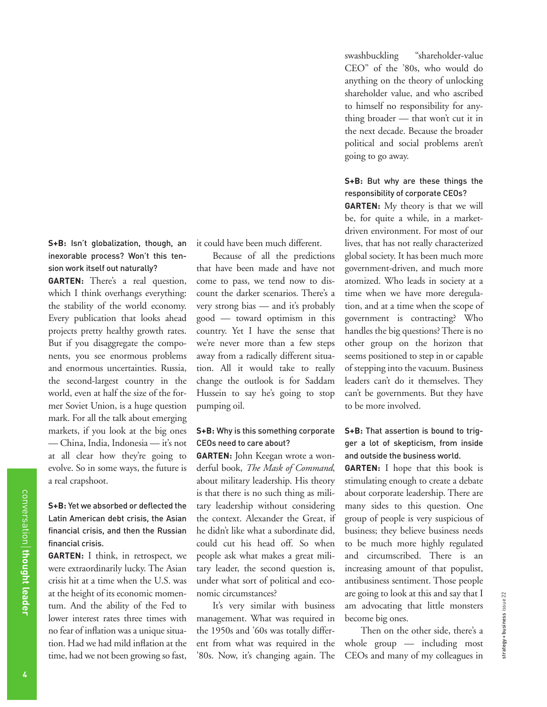**S+B:** Isn't globalization, though, an inexorable process? Won't this tension work itself out naturally?

**GARTEN:** There's a real question, which I think overhangs everything: the stability of the world economy. Every publication that looks ahead projects pretty healthy growth rates. But if you disaggregate the components, you see enormous problems and enormous uncertainties. Russia, the second-largest country in the world, even at half the size of the former Soviet Union, is a huge question mark. For all the talk about emerging markets, if you look at the big ones — China, India, Indonesia — it's not at all clear how they're going to evolve. So in some ways, the future is a real crapshoot.

## **S+B:** Yet we absorbed or deflected the Latin American debt crisis, the Asian financial crisis, and then the Russian financial crisis.

**GARTEN:** I think, in retrospect, we were extraordinarily lucky. The Asian crisis hit at a time when the U.S. was at the height of its economic momentum. And the ability of the Fed to lower interest rates three times with no fear of inflation was a unique situation. Had we had mild inflation at the time, had we not been growing so fast,

it could have been much different.

Because of all the predictions that have been made and have not come to pass, we tend now to discount the darker scenarios. There's a very strong bias — and it's probably good — toward optimism in this country. Yet I have the sense that we're never more than a few steps away from a radically different situation. All it would take to really change the outlook is for Saddam Hussein to say he's going to stop pumping oil.

### **S+B:** Why is this something corporate CEOs need to care about?

**GARTEN:** John Keegan wrote a wonderful book, *The Mask of Command*, about military leadership. His theory is that there is no such thing as military leadership without considering the context. Alexander the Great, if he didn't like what a subordinate did, could cut his head off. So when people ask what makes a great military leader, the second question is, under what sort of political and economic circumstances?

It's very similar with business management. What was required in the 1950s and '60s was totally different from what was required in the '80s. Now, it's changing again. The swashbuckling "shareholder-value CEO" of the '80s, who would do anything on the theory of unlocking shareholder value, and who ascribed to himself no responsibility for anything broader — that won't cut it in the next decade. Because the broader political and social problems aren't going to go away.

## **S+B:** But why are these things the responsibility of corporate CEOs?

**GARTEN:** My theory is that we will be, for quite a while, in a marketdriven environment. For most of our lives, that has not really characterized global society. It has been much more government-driven, and much more atomized. Who leads in society at a time when we have more deregulation, and at a time when the scope of government is contracting? Who handles the big questions? There is no other group on the horizon that seems positioned to step in or capable of stepping into the vacuum. Business leaders can't do it themselves. They can't be governments. But they have to be more involved.

## **S+B:** That assertion is bound to trigger a lot of skepticism, from inside and outside the business world.

**GARTEN:** I hope that this book is stimulating enough to create a debate about corporate leadership. There are many sides to this question. One group of people is very suspicious of business; they believe business needs to be much more highly regulated and circumscribed. There is an increasing amount of that populist, antibusiness sentiment. Those people are going to look at this and say that I am advocating that little monsters become big ones.

Then on the other side, there's a whole group — including most CEOs and many of my colleagues in

conversation

**thought leader**

conversation thought leader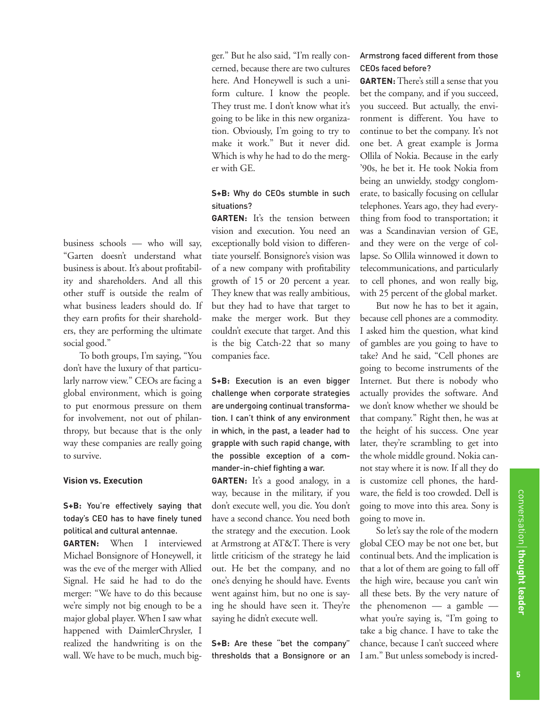business schools — who will say, "Garten doesn't understand what business is about. It's about profitability and shareholders. And all this other stuff is outside the realm of what business leaders should do. If they earn profits for their shareholders, they are performing the ultimate social good."

To both groups, I'm saying, "You don't have the luxury of that particularly narrow view." CEOs are facing a global environment, which is going to put enormous pressure on them for involvement, not out of philanthropy, but because that is the only way these companies are really going to survive.

### **Vision vs. Execution**

**S+B:** You're effectively saying that today's CEO has to have finely tuned political and cultural antennae.

**GARTEN:** When I interviewed Michael Bonsignore of Honeywell, it was the eve of the merger with Allied Signal. He said he had to do the merger: "We have to do this because we're simply not big enough to be a major global player. When I saw what happened with DaimlerChrysler, I realized the handwriting is on the wall. We have to be much, much bigger." But he also said, "I'm really concerned, because there are two cultures here. And Honeywell is such a uniform culture. I know the people. They trust me. I don't know what it's going to be like in this new organization. Obviously, I'm going to try to make it work." But it never did. Which is why he had to do the merger with GE.

## **S+B:** Why do CEOs stumble in such situations?

GARTEN: It's the tension between vision and execution. You need an exceptionally bold vision to differentiate yourself. Bonsignore's vision was of a new company with profitability growth of 15 or 20 percent a year. They knew that was really ambitious, but they had to have that target to make the merger work. But they couldn't execute that target. And this is the big Catch-22 that so many companies face.

**S+B:** Execution is an even bigger challenge when corporate strategies are undergoing continual transformation. I can't think of any environment in which, in the past, a leader had to grapple with such rapid change, with the possible exception of a commander-in-chief fighting a war.

**GARTEN:** It's a good analogy, in a way, because in the military, if you don't execute well, you die. You don't have a second chance. You need both the strategy and the execution. Look at Armstrong at AT&T. There is very little criticism of the strategy he laid out. He bet the company, and no one's denying he should have. Events went against him, but no one is saying he should have seen it. They're saying he didn't execute well.

**S+B:** Are these "bet the company" thresholds that a Bonsignore or an

## Armstrong faced different from those CEOs faced before?

**GARTEN:** There's still a sense that you bet the company, and if you succeed, you succeed. But actually, the environment is different. You have to continue to bet the company. It's not one bet. A great example is Jorma Ollila of Nokia. Because in the early '90s, he bet it. He took Nokia from being an unwieldy, stodgy conglomerate, to basically focusing on cellular telephones. Years ago, they had everything from food to transportation; it was a Scandinavian version of GE, and they were on the verge of collapse. So Ollila winnowed it down to telecommunications, and particularly to cell phones, and won really big, with 25 percent of the global market.

But now he has to bet it again, because cell phones are a commodity. I asked him the question, what kind of gambles are you going to have to take? And he said, "Cell phones are going to become instruments of the Internet. But there is nobody who actually provides the software. And we don't know whether we should be that company." Right then, he was at the height of his success. One year later, they're scrambling to get into the whole middle ground. Nokia cannot stay where it is now. If all they do is customize cell phones, the hardware, the field is too crowded. Dell is going to move into this area. Sony is going to move in.

So let's say the role of the modern global CEO may be not one bet, but continual bets. And the implication is that a lot of them are going to fall off the high wire, because you can't win all these bets. By the very nature of the phenomenon  $-$  a gamble  $$ what you're saying is, "I'm going to take a big chance. I have to take the chance, because I can't succeed where I am." But unless somebody is incred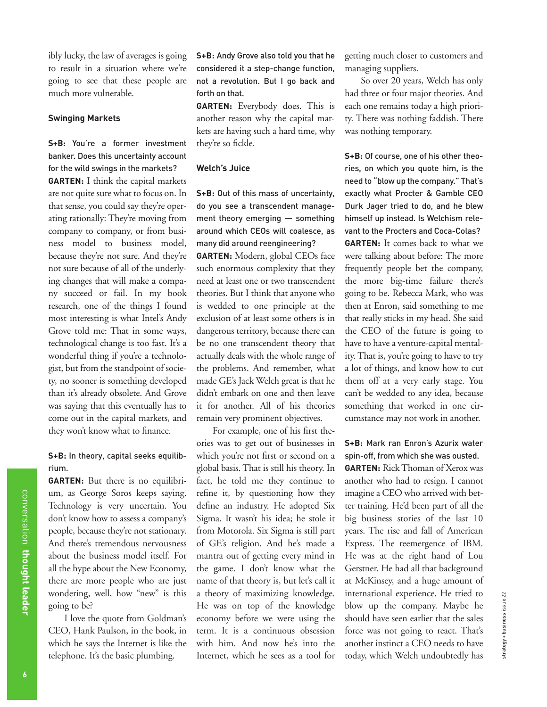ibly lucky, the law of averages is going to result in a situation where we're going to see that these people are much more vulnerable.

#### **Swinging Markets**

**S+B:** You're a former investment banker. Does this uncertainty account for the wild swings in the markets? **GARTEN:** I think the capital markets are not quite sure what to focus on. In that sense, you could say they're operating rationally: They're moving from company to company, or from business model to business model, because they're not sure. And they're not sure because of all of the underlying changes that will make a company succeed or fail. In my book research, one of the things I found most interesting is what Intel's Andy Grove told me: That in some ways, technological change is too fast. It's a wonderful thing if you're a technologist, but from the standpoint of society, no sooner is something developed than it's already obsolete. And Grove was saying that this eventually has to come out in the capital markets, and they won't know what to finance.

# **S+B:** In theory, capital seeks equilibrium.

**GARTEN:** But there is no equilibrium, as George Soros keeps saying. Technology is very uncertain. You don't know how to assess a company's people, because they're not stationary. And there's tremendous nervousness about the business model itself. For all the hype about the New Economy, there are more people who are just wondering, well, how "new" is this going to be?

I love the quote from Goldman's CEO, Hank Paulson, in the book, in which he says the Internet is like the telephone. It's the basic plumbing.

**S+B:** Andy Grove also told you that he considered it a step-change function, not a revolution. But I go back and forth on that.

**GARTEN:** Everybody does. This is another reason why the capital markets are having such a hard time, why they're so fickle.

#### **Welch's Juice**

**S+B:** Out of this mass of uncertainty, do you see a transcendent management theory emerging — something around which CEOs will coalesce, as many did around reengineering?

**GARTEN:** Modern, global CEOs face such enormous complexity that they need at least one or two transcendent theories. But I think that anyone who is wedded to one principle at the exclusion of at least some others is in dangerous territory, because there can be no one transcendent theory that actually deals with the whole range of the problems. And remember, what made GE's Jack Welch great is that he didn't embark on one and then leave it for another. All of his theories remain very prominent objectives.

For example, one of his first theories was to get out of businesses in which you're not first or second on a global basis. That is still his theory. In fact, he told me they continue to refine it, by questioning how they define an industry. He adopted Six Sigma. It wasn't his idea; he stole it from Motorola. Six Sigma is still part of GE's religion. And he's made a mantra out of getting every mind in the game. I don't know what the name of that theory is, but let's call it a theory of maximizing knowledge. He was on top of the knowledge economy before we were using the term. It is a continuous obsession with him. And now he's into the Internet, which he sees as a tool for getting much closer to customers and managing suppliers.

So over 20 years, Welch has only had three or four major theories. And each one remains today a high priority. There was nothing faddish. There was nothing temporary.

**S+B:** Of course, one of his other theories, on which you quote him, is the need to "blow up the company." That's exactly what Procter & Gamble CEO Durk Jager tried to do, and he blew himself up instead. Is Welchism relevant to the Procters and Coca-Colas?

**GARTEN:** It comes back to what we were talking about before: The more frequently people bet the company, the more big-time failure there's going to be. Rebecca Mark, who was then at Enron, said something to me that really sticks in my head. She said the CEO of the future is going to have to have a venture-capital mentality. That is, you're going to have to try a lot of things, and know how to cut them off at a very early stage. You can't be wedded to any idea, because something that worked in one circumstance may not work in another.

# **S+B:** Mark ran Enron's Azurix water spin-off, from which she was ousted.

**GARTEN:** Rick Thoman of Xerox was another who had to resign. I cannot imagine a CEO who arrived with better training. He'd been part of all the big business stories of the last 10 years. The rise and fall of American Express. The reemergence of IBM. He was at the right hand of Lou Gerstner. He had all that background at McKinsey, and a huge amount of international experience. He tried to blow up the company. Maybe he should have seen earlier that the sales force was not going to react. That's another instinct a CEO needs to have today, which Welch undoubtedly has

strategy + business issue 22

strategy+business issue 22